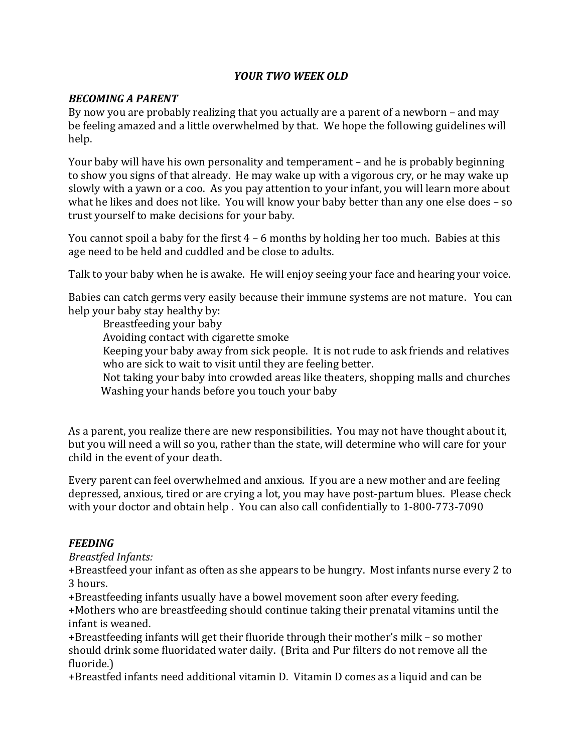# *YOUR TWO WEEK OLD*

### *BECOMING A PARENT*

By now you are probably realizing that you actually are a parent of a newborn  $-$  and may be feeling amazed and a little overwhelmed by that. We hope the following guidelines will help.

Your baby will have his own personality and temperament – and he is probably beginning to show you signs of that already. He may wake up with a vigorous cry, or he may wake up slowly with a yawn or a coo. As you pay attention to your infant, you will learn more about what he likes and does not like. You will know your baby better than any one else does  $-$  so trust vourself to make decisions for your baby.

You cannot spoil a baby for the first  $4 - 6$  months by holding her too much. Babies at this age need to be held and cuddled and be close to adults.

Talk to your baby when he is awake. He will enjoy seeing your face and hearing your voice.

Babies can catch germs very easily because their immune systems are not mature. You can help your baby stay healthy by:

Breastfeeding your baby

Avoiding contact with cigarette smoke

Keeping your baby away from sick people. It is not rude to ask friends and relatives who are sick to wait to visit until they are feeling better.

Not taking your baby into crowded areas like theaters, shopping malls and churches Washing your hands before you touch your baby

As a parent, you realize there are new responsibilities. You may not have thought about it, but you will need a will so you, rather than the state, will determine who will care for vour child in the event of your death.

Every parent can feel overwhelmed and anxious. If you are a new mother and are feeling depressed, anxious, tired or are crying a lot, you may have post-partum blues. Please check with your doctor and obtain help. You can also call confidentially to 1-800-773-7090

### *FEEDING*

*Breastfed Infants:*

+Breastfeed your infant as often as she appears to be hungry. Most infants nurse every 2 to 3 hours.

+Breastfeeding infants usually have a bowel movement soon after every feeding.

+Mothers who are breastfeeding should continue taking their prenatal vitamins until the infant is weaned.

 $+$ Breastfeeding infants will get their fluoride through their mother's milk – so mother should drink some fluoridated water daily. (Brita and Pur filters do not remove all the fluoride.)

+Breastfed infants need additional vitamin D. Vitamin D comes as a liquid and can be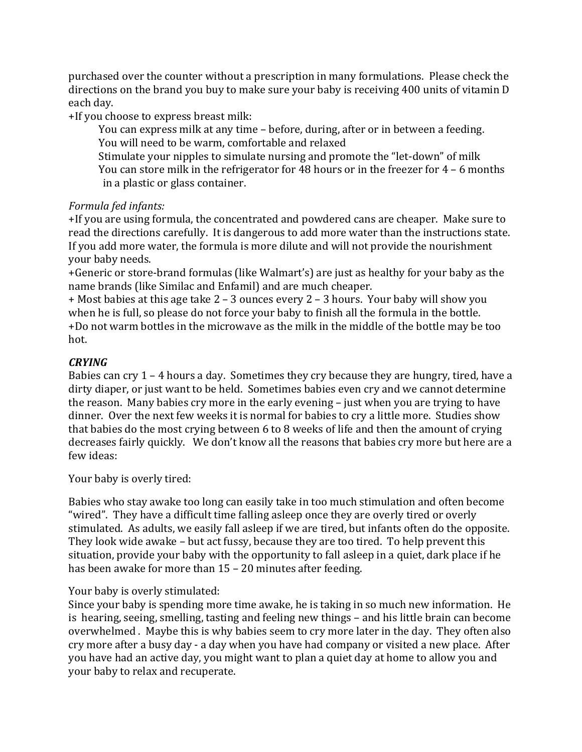purchased over the counter without a prescription in many formulations. Please check the directions on the brand you buy to make sure your baby is receiving 400 units of vitamin D each day.

+If you choose to express breast milk:

You can express milk at any time - before, during, after or in between a feeding. You will need to be warm, comfortable and relaxed

Stimulate your nipples to simulate nursing and promote the "let-down" of milk You can store milk in the refrigerator for 48 hours or in the freezer for  $4 - 6$  months in a plastic or glass container.

### *Formula fed infants:*

+If you are using formula, the concentrated and powdered cans are cheaper. Make sure to read the directions carefully. It is dangerous to add more water than the instructions state. If you add more water, the formula is more dilute and will not provide the nourishment your baby needs.

+Generic or store-brand formulas (like Walmart's) are just as healthy for your baby as the name brands (like Similac and Enfamil) and are much cheaper.

 $+$  Most babies at this age take  $2 - 3$  ounces every  $2 - 3$  hours. Your baby will show you when he is full, so please do not force your baby to finish all the formula in the bottle. +Do not warm bottles in the microwave as the milk in the middle of the bottle may be too hot.

### *CRYING*

Babies can cry  $1 - 4$  hours a day. Sometimes they cry because they are hungry, tired, have a dirty diaper, or just want to be held. Sometimes babies even cry and we cannot determine the reason. Many babies cry more in the early evening – just when you are trying to have dinner. Over the next few weeks it is normal for babies to cry a little more. Studies show that babies do the most crying between 6 to 8 weeks of life and then the amount of crying decreases fairly quickly. We don't know all the reasons that babies cry more but here are a few ideas:

Your baby is overly tired:

Babies who stay awake too long can easily take in too much stimulation and often become "wired". They have a difficult time falling asleep once they are overly tired or overly stimulated. As adults, we easily fall asleep if we are tired, but infants often do the opposite. They look wide awake – but act fussy, because they are too tired. To help prevent this situation, provide your baby with the opportunity to fall asleep in a quiet, dark place if he has been awake for more than  $15 - 20$  minutes after feeding.

### Your baby is overly stimulated:

Since your baby is spending more time awake, he is taking in so much new information. He is hearing, seeing, smelling, tasting and feeling new things – and his little brain can become overwhelmed . Maybe this is why babies seem to cry more later in the day. They often also cry more after a busy day - a day when you have had company or visited a new place. After you have had an active day, you might want to plan a quiet day at home to allow you and your baby to relax and recuperate.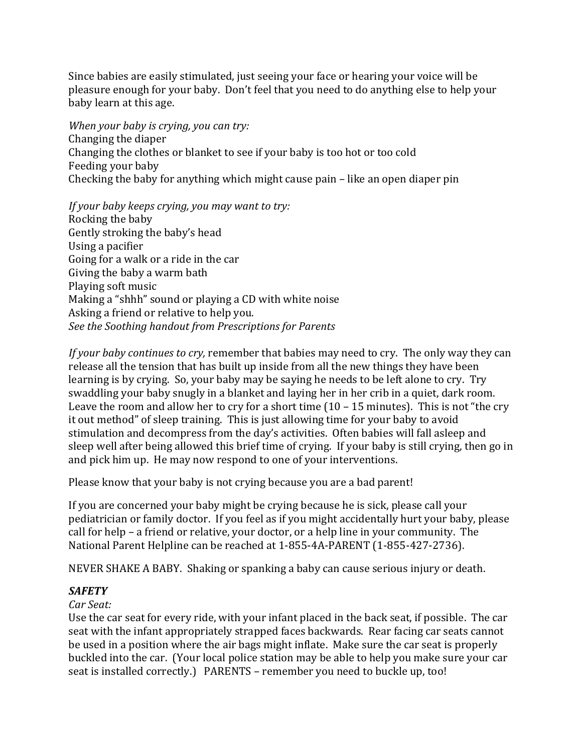Since babies are easily stimulated, just seeing your face or hearing your voice will be pleasure enough for your baby. Don't feel that you need to do anything else to help your baby learn at this age.

*When your baby is crying, you can try:* Changing the diaper Changing the clothes or blanket to see if your baby is too hot or too cold Feeding your baby Checking the baby for anything which might cause  $\pi$  pain – like an open diaper pin

*If* your baby keeps crying, you may want to try: Rocking the baby Gently stroking the baby's head Using a pacifier Going for a walk or a ride in the car Giving the baby a warm bath Playing soft music Making a "shhh" sound or playing a CD with white noise Asking a friend or relative to help you. *See the Soothing handout from Prescriptions for Parents*

*If* your baby continues to cry, remember that babies may need to cry. The only way they can release all the tension that has built up inside from all the new things they have been learning is by crying. So, your baby may be saying he needs to be left alone to cry. Try swaddling your baby snugly in a blanket and laying her in her crib in a quiet, dark room. Leave the room and allow her to cry for a short time  $(10 - 15 \text{ minutes})$ . This is not "the cry it out method" of sleep training. This is just allowing time for your baby to avoid stimulation and decompress from the day's activities. Often babies will fall asleep and sleep well after being allowed this brief time of crying. If your baby is still crying, then go in and pick him up. He may now respond to one of your interventions.

Please know that your baby is not crying because you are a bad parent!

If you are concerned your baby might be crying because he is sick, please call your pediatrician or family doctor. If you feel as if you might accidentally hurt your baby, please call for help – a friend or relative, your doctor, or a help line in your community. The National Parent Helpline can be reached at 1-855-4A-PARENT (1-855-427-2736).

NEVER SHAKE A BABY. Shaking or spanking a baby can cause serious injury or death.

# *SAFETY*

# *Car Seat:*

Use the car seat for every ride, with your infant placed in the back seat, if possible. The car seat with the infant appropriately strapped faces backwards. Rear facing car seats cannot be used in a position where the air bags might inflate. Make sure the car seat is properly buckled into the car. (Your local police station may be able to help you make sure your car seat is installed correctly.) PARENTS – remember you need to buckle up, too!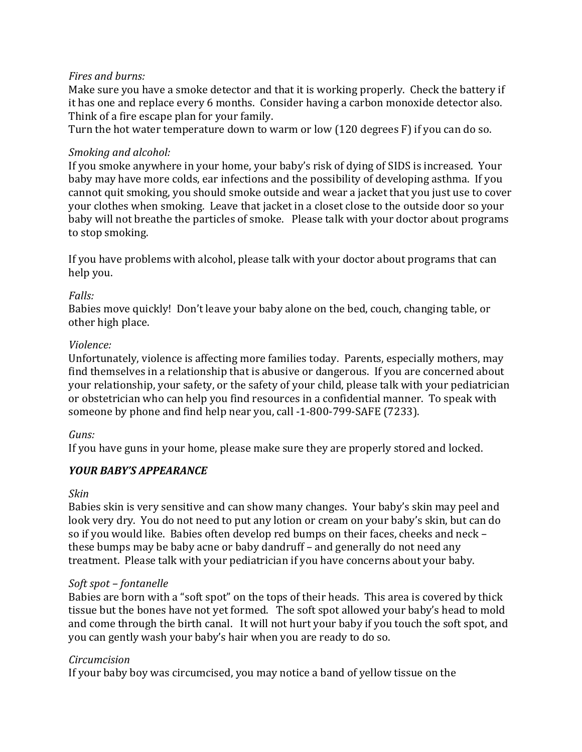### *Fires and burns:*

Make sure you have a smoke detector and that it is working properly. Check the battery if it has one and replace every 6 months. Consider having a carbon monoxide detector also. Think of a fire escape plan for your family.

Turn the hot water temperature down to warm or low  $(120 \text{ degrees F})$  if you can do so.

### *Smoking and alcohol:*

If you smoke anywhere in your home, your baby's risk of dying of SIDS is increased. Your baby may have more colds, ear infections and the possibility of developing asthma. If you cannot quit smoking, you should smoke outside and wear a jacket that you just use to cover your clothes when smoking. Leave that jacket in a closet close to the outside door so your baby will not breathe the particles of smoke. Please talk with your doctor about programs to stop smoking.

If you have problems with alcohol, please talk with your doctor about programs that can help you.

### *Falls:*

Babies move quickly! Don't leave your baby alone on the bed, couch, changing table, or other high place.

### *Violence:*

Unfortunately, violence is affecting more families today. Parents, especially mothers, may find themselves in a relationship that is abusive or dangerous. If you are concerned about your relationship, your safety, or the safety of your child, please talk with your pediatrician or obstetrician who can help you find resources in a confidential manner. To speak with someone by phone and find help near you, call -1-800-799-SAFE (7233).

### *Guns:*

If you have guns in your home, please make sure they are properly stored and locked.

# *YOUR BABY'S APPEARANCE*

### *Skin*

Babies skin is very sensitive and can show many changes. Your baby's skin may peel and look very dry. You do not need to put any lotion or cream on your baby's skin, but can do so if you would like. Babies often develop red bumps on their faces, cheeks and neck these bumps may be baby acne or baby dandruff – and generally do not need any treatment. Please talk with your pediatrician if you have concerns about your baby.

### *Soft spot – fontanelle*

Babies are born with a "soft spot" on the tops of their heads. This area is covered by thick tissue but the bones have not yet formed. The soft spot allowed your baby's head to mold and come through the birth canal. It will not hurt your baby if you touch the soft spot, and you can gently wash your baby's hair when you are ready to do so.

# *Circumcision*

If your baby boy was circumcised, you may notice a band of yellow tissue on the